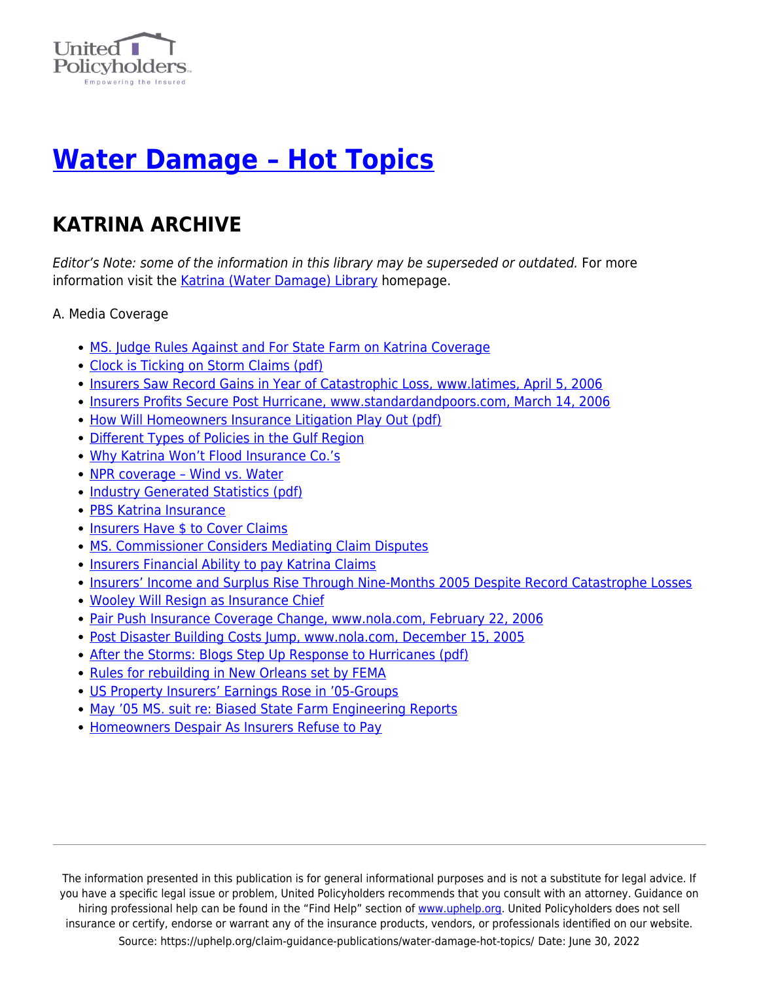

## **[Water Damage – Hot Topics](https://uphelp.org/claim-guidance-publications/water-damage-hot-topics/)**

## **KATRINA ARCHIVE**

Editor's Note: some of the information in this library may be superseded or outdated. For more information visit the [Katrina \(Water Damage\) Library](https://uphelp.org/claim-guidance-publications/katrina-water-damage-library-archive/) homepage.

A. Media Coverage

- [MS. Judge Rules Against and For State Farm on Katrina Coverage](https://www.uphelp.org/sites/default/files/disaster/katrina_articles/katrina_MSjudge3.html)
- [Clock is Ticking on Storm Claims \(pdf\)](https://uphelp.org/wp-content/uploads/2020/10/ClockIsTickingOnStormClaims.pdf)
- [Insurers Saw Record Gains in Year of Catastrophic Loss, www.latimes, April 5, 2006](https://www.uphelp.org/sites/default/files/disaster/katrina_articles/katrina_RecordGains.html)
- [Insurers Profits Secure Post Hurricane, www.standardandpoors.com, March 14, 2006](https://www.uphelp.org/sites/default/files/disaster/katrina_articles/katrina_RainAgain.html)
- [How Will Homeowners Insurance Litigation Play Out \(pdf\)](https://uphelp.org/wp-content/uploads/2020/10/HowWillHomeownersInsuranceLitigationPlayOut.pdf)
- [Different Types of Policies in the Gulf Region](https://www.uphelp.org/sites/default/files/disaster/tip_katrina_home.html#season)
- [Why Katrina Won't Flood Insurance Co.'s](https://www.uphelp.org/sites/default/files/disaster/tip_katrina_articles.html#pennies)
- [NPR coverage Wind vs. Water](https://www.uphelp.org/sites/default/files/disaster/tip_katrina_articles.html#experts)
- [Industry Generated Statistics \(pdf\)](http://www.rms.com/Publications/KatrinaReport_LessonsandImplications.pdf)
- [PBS Katrina Insurance](http://www.pbs.org/newshour/bb/economy/july-dec05/insurance_9-27.html)
- [Insurers Have \\$ to Cover Claims](https://www.atla.org/pressroom/research/insurerfinances.aspx)
- [MS. Commissioner Considers Mediating Claim Disputes](http://www.picayuneitem.com/articles/2005/10/07/news/12insurance.prt)
- [Insurers Financial Ability to pay Katrina Claims](http://www.iso.com/press_releases/2005/10_05_05.html)
- [Insurers' Income and Surplus Rise Through Nine-Months 2005 Despite Record Catastrophe Losses](https://www.uphelp.org/sites/default/files/disaster/katrina_articles/katrina_surplus.html)
- [Wooley Will Resign as Insurance Chief](https://www.uphelp.org/sites/default/files/disaster/katrina_articles/katrina_Wooley.html)
- [Pair Push Insurance Coverage Change, www.nola.com, February 22, 2006](https://www.uphelp.org/sites/default/files/disaster/katrina_articles/katrina_push.html)
- [Post Disaster Building Costs Jump, www.nola.com, December 15, 2005](https://www.uphelp.org/sites/default/files/disaster/katrina_articles/katrina_building.html)
- [After the Storms: Blogs Step Up Response to Hurricanes \(pdf\)](https://uphelp.org/wp-content/uploads/2020/10/Blog.pdf)
- [Rules for rebuilding in New Orleans set by FEMA](https://www.uphelp.org/sites/default/files/disaster/katrina_articles/katrina_RulesRebuild.html)
- [US Property Insurers' Earnings Rose in '05-Groups](https://www.uphelp.org/sites/default/files/disaster/katrina_articles/katrina_earnings.html)
- [May '05 MS. suit re: Biased State Farm Engineering Reports](https://www.uphelp.org/sites/default/files/disaster/katrina_articles/katrina_MSHomeowners.html)
- [Homeowners Despair As Insurers Refuse to Pay](https://www.uphelp.org/sites/default/files/disaster/katrina_articles/katrina_despair.html)

The information presented in this publication is for general informational purposes and is not a substitute for legal advice. If you have a specific legal issue or problem, United Policyholders recommends that you consult with an attorney. Guidance on hiring professional help can be found in the "Find Help" section of [www.uphelp.org.](http://www.uphelp.org/) United Policyholders does not sell insurance or certify, endorse or warrant any of the insurance products, vendors, or professionals identified on our website. Source: https://uphelp.org/claim-guidance-publications/water-damage-hot-topics/ Date: June 30, 2022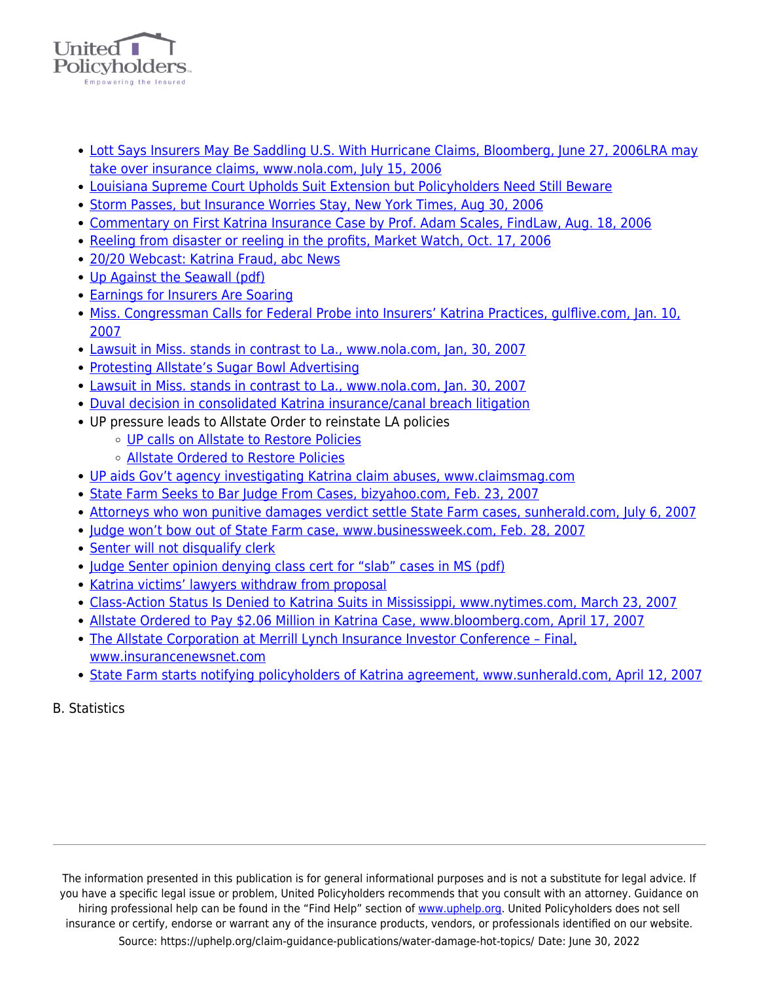

- [Lott Says Insurers May Be Saddling U.S. With Hurricane Claims, Bloomberg, June 27, 2006](https://www.uphelp.org/sites/default/files/disaster/katrina_articles/katrina_saddling.html)[LRA may](https://www.uphelp.org/sites/default/files/disaster/katrina_articles/katrina_LRA.html) [take over insurance claims, www.nola.com, July 15, 2006](https://www.uphelp.org/sites/default/files/disaster/katrina_articles/katrina_LRA.html)
- [Louisiana Supreme Court Upholds Suit Extension but Policyholders Need Still Beware](https://www.uphelp.org/sites/default/files/articles/article_LACourt.html)
- [Storm Passes, but Insurance Worries Stay, New York Times, Aug 30, 2006](https://www.uphelp.org/sites/default/files/disaster/katrina_articles/katrina_StormPasses.html)
- [Commentary on First Katrina Insurance Case by Prof. Adam Scales, FindLaw, Aug. 18, 2006](https://www.uphelp.org/sites/default/files/disaster/katrina_articles/katrina_Coverage.html)
- [Reeling from disaster or reeling in the profits, Market Watch, Oct. 17, 2006](https://www.uphelp.org/sites/default/files/disaster/katrina_articles/katrina_Reeling.html)
- [20/20 Webcast: Katrina Fraud, abc News](http://abcnews.go.com/Video/playerIndex?id=2357235%20)
- [Up Against the Seawall \(pdf\)](https://uphelp.org/wp-content/uploads/2020/10/UpAgainstSeawall.pdf)
- [Earnings for Insurers Are Soaring](https://www.uphelp.org/sites/default/files/disaster/katrina_articles/katrina_EarningsSoaring.html)
- [Miss. Congressman Calls for Federal Probe into Insurers' Katrina Practices, gulflive.com, Jan. 10,](https://www.uphelp.org/sites/default/files/disaster/katrina_articles/katrina_MSFederalProbe.html) [2007](https://www.uphelp.org/sites/default/files/disaster/katrina_articles/katrina_MSFederalProbe.html)
- [Lawsuit in Miss. stands in contrast to La., www.nola.com, Jan, 30, 2007](https://www.uphelp.org/sites/default/files/disaster/katrina_articles/katrina_LawsuitContrast.html)
- [Protesting Allstate's Sugar Bowl Advertising](https://www.uphelp.org/sites/default/files/disaster/katrina_articles/katrina_SugarBowl.html)
- [Lawsuit in Miss. stands in contrast to La., www.nola.com, Jan. 30, 2007](https://www.uphelp.org/sites/default/files/disaster/katrina_articles/katrina_NeighboringStates.html)
- [Duval decision in consolidated Katrina insurance/canal breach litigation](https://uphelp.org/wp-content/uploads/2020/10/Duval_decision.pdf)
- UP pressure leads to Allstate Order to reinstate LA policies
	- [UP calls on Allstate to Restore Policies](https://www.uphelp.org/sites/default/files/disaster/katrina_articles/katrina_AllstateProbe.html)
	- [Allstate Ordered to Restore Policies](https://www.uphelp.org/sites/default/files/disaster/katrina_articles/katrina_AllstateRestore.html)
- [UP aids Gov't agency investigating Katrina claim abuses, www.claimsmag.com](https://www.uphelp.org/sites/default/files/disaster/katrina_articles/katrina_SenatorHelps.html)
- [State Farm Seeks to Bar Judge From Cases, bizyahoo.com, Feb. 23, 2007](https://www.uphelp.org/sites/default/files/disaster/katrina_articles/katrina_BarJudge.html)
- [Attorneys who won punitive damages verdict settle State Farm cases, sunherald.com, July 6, 2007](https://www.uphelp.org/sites/default/files/disaster/katrina_articles/katrina_StateFarmSettles.html)
- [Judge won't bow out of State Farm case, www.businessweek.com, Feb. 28, 2007](https://www.uphelp.org/sites/default/files/disaster/katrina_articles/katrina_JudgeBow.html)
- [Senter will not disqualify clerk](https://www.uphelp.org/sites/default/files/disaster/katrina_articles/katrina_SenterDisqualify.html)
- [Judge Senter opinion denying class cert for "slab" cases in MS \(pdf\)](https://uphelp.org/wp-content/uploads/2020/10/Guice.pdf)
- [Katrina victims' lawyers withdraw from proposal](https://www.uphelp.org/sites/default/files/disaster/katrina_articles/katrina_LawyerWithdraw.html)
- [Class-Action Status Is Denied to Katrina Suits in Mississippi, www.nytimes.com, March 23, 2007](https://www.uphelp.org/sites/default/files/disaster/katrina_articles/katrina_StatusDenied.html)
- [Allstate Ordered to Pay \\$2.06 Million in Katrina Case, www.bloomberg.com, April 17, 2007](https://www.uphelp.org/sites/default/files/disaster/katrina_articles/katrina_AllstateOrdered.html)
- [The Allstate Corporation at Merrill Lynch Insurance Investor Conference Final,](https://www.uphelp.org/sites/default/files/disaster/katrina_articles/katrina_AllstateML.html) [www.insurancenewsnet.com](https://www.uphelp.org/sites/default/files/disaster/katrina_articles/katrina_AllstateML.html)
- [State Farm starts notifying policyholders of Katrina agreement, www.sunherald.com, April 12, 2007](https://www.uphelp.org/sites/default/files/disaster/katrina_articles/katrina_StateFarmPolicy.html)

B. Statistics

The information presented in this publication is for general informational purposes and is not a substitute for legal advice. If you have a specific legal issue or problem, United Policyholders recommends that you consult with an attorney. Guidance on hiring professional help can be found in the "Find Help" section of [www.uphelp.org.](http://www.uphelp.org/) United Policyholders does not sell insurance or certify, endorse or warrant any of the insurance products, vendors, or professionals identified on our website. Source: https://uphelp.org/claim-guidance-publications/water-damage-hot-topics/ Date: June 30, 2022